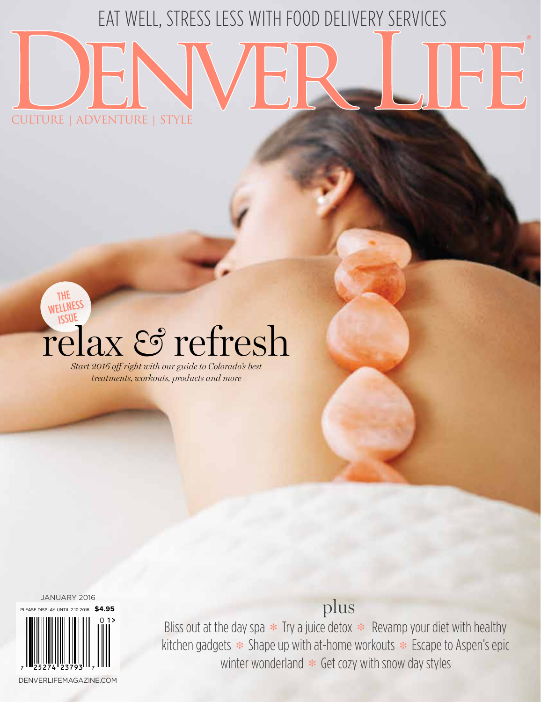# EAT WELL, STRESS LESS WITH FOOD DELIVERY SERVICES

## WELLNESS ISSUE relax *&* refresh *Start 2016 off right with our guide to Colorado's best*

CULTURE | ADVENTURE | STYLE

*treatments, workouts, products and more*

JANUARY 2016

THE



plus

Bliss out at the day spa  $\ast$  Try a juice detox  $\ast$  Revamp your diet with healthy kitchen gadgets \* Shape up with at-home workouts \* Escape to Aspen's epic winter wonderland  $*$  Get cozy with snow day styles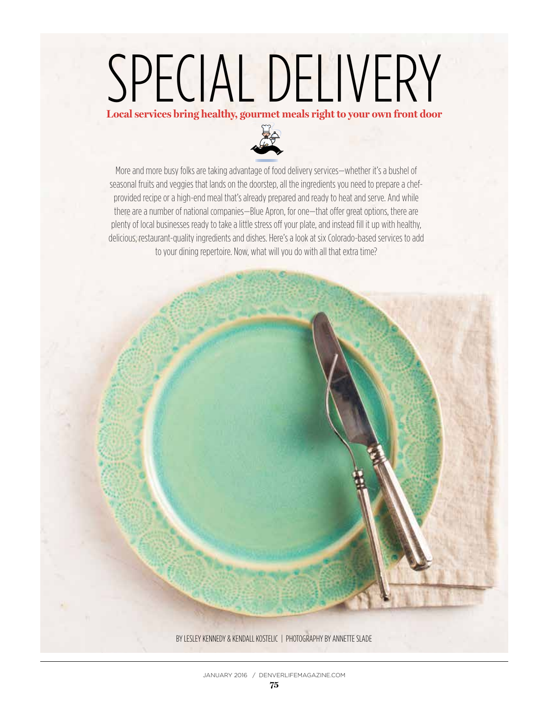# SPECIAL DELIVERY

**Local services bring healthy, gourmet meals right to your own front door**



More and more busy folks are taking advantage of food delivery services—whether it's a bushel of seasonal fruits and veggies that lands on the doorstep, all the ingredients you need to prepare a chefprovided recipe or a high-end meal that's already prepared and ready to heat and serve. And while there are a number of national companies—Blue Apron, for one—that offer great options, there are plenty of local businesses ready to take a little stress off your plate, and instead fill it up with healthy, delicious, restaurant-quality ingredients and dishes. Here's a look at six Colorado-based services to add to your dining repertoire. Now, what will you do with all that extra time?

BY LESLEY KENNEDY & KENDALL KOSTELIC | PHOTOGRAPHY BY ANNETTE SLADE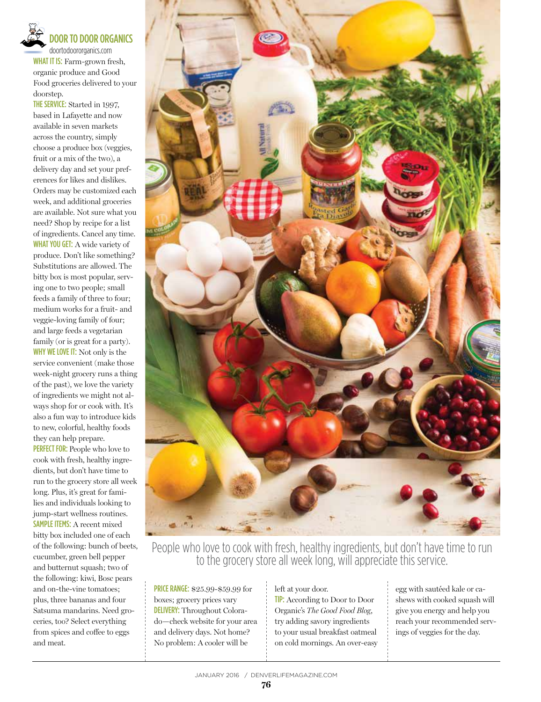

## DOOR TO DOOR ORGANICS

doortodoororganics.com WHAT IT IS: Farm-grown fresh, organic produce and Good Food groceries delivered to your doorstep.

THE SERVICE: Started in 1997, based in Lafayette and now available in seven markets across the country, simply choose a produce box (veggies, fruit or a mix of the two), a delivery day and set your preferences for likes and dislikes. Orders may be customized each week, and additional groceries are available. Not sure what you need? Shop by recipe for a list of ingredients. Cancel any time. WHAT YOU GET: A wide variety of produce. Don't like something? Substitutions are allowed. The bitty box is most popular, serving one to two people; small feeds a family of three to four; medium works for a fruit- and veggie-loving family of four; and large feeds a vegetarian family (or is great for a party). WHY WE LOVE IT: Not only is the service convenient (make those week-night grocery runs a thing of the past), we love the variety of ingredients we might not always shop for or cook with. It's also a fun way to introduce kids to new, colorful, healthy foods they can help prepare.

PERFECT FOR: People who love to cook with fresh, healthy ingredients, but don't have time to run to the grocery store all week long. Plus, it's great for families and individuals looking to jump-start wellness routines. SAMPLE ITEMS: A recent mixed bitty box included one of each of the following: bunch of beets, cucumber, green bell pepper and butternut squash; two of the following: kiwi, Bosc pears and on-the-vine tomatoes; plus, three bananas and four Satsuma mandarins. Need groceries, too? Select everything from spices and coffee to eggs and meat.



People who love to cook with fresh, healthy ingredients, but don't have time to run to the grocery store all week long, will appreciate this service.

PRICE RANGE: \$25.99-\$59.99 for boxes; grocery prices vary DELIVERY: Throughout Colorado—check website for your area and delivery days. Not home? No problem: A cooler will be

left at your door. TIP: According to Door to Door Organic's *The Good Food Blog*, try adding savory ingredients to your usual breakfast oatmeal on cold mornings. An over-easy egg with sautéed kale or cashews with cooked squash will give you energy and help you reach your recommended servings of veggies for the day.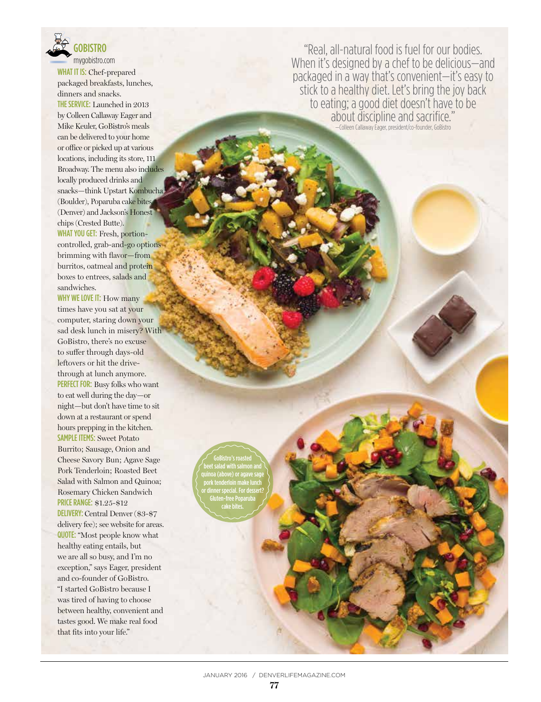

WHAT IT IS: Chef-prepared packaged breakfasts, lunches, dinners and snacks.

THE SERVICE: Launched in 2013 by Colleen Callaway Eager and Mike Keuler, GoBistro's meals can be delivered to your home or office or picked up at various locations, including its store, 111 Broadway. The menu also includes locally produced drinks and snacks—think Upstart Kombucha (Boulder), Poparuba cake bites (Denver) and Jackson's Honest chips (Crested Butte). WHAT YOU GET: Fresh, portioncontrolled, grab-and-go options brimming with flavor—from burritos, oatmeal and protein boxes to entrees, salads and sandwiches.

WHY WE LOVE IT: How many times have you sat at your computer, staring down your sad desk lunch in misery? With GoBistro, there's no excuse to suffer through days-old leftovers or hit the drivethrough at lunch anymore. PERFECT FOR: Busy folks who want to eat well during the day—or night—but don't have time to sit down at a restaurant or spend hours prepping in the kitchen. SAMPLE ITEMS: Sweet Potato Burrito; Sausage, Onion and Cheese Savory Bun; Agave Sage Pork Tenderloin; Roasted Beet Salad with Salmon and Quinoa; Rosemary Chicken Sandwich PRICE RANGE: \$1.25-\$12 DELIVERY: Central Denver (\$3-\$7 delivery fee); see website for areas. QUOTE: "Most people know what healthy eating entails, but we are all so busy, and I'm no exception," says Eager, president and co-founder of GoBistro. "I started GoBistro because I was tired of having to choose between healthy, convenient and tastes good. We make real food that fits into your life."

GoBistro's roasted beet salad with salmon and quinoa (above) or agave sage pork tenderloin make lunch or dinner special. For dessert? Gluten-free Poparuba cake bites.

"Real, all-natural food is fuel for our bodies. When it's designed by a chef to be delicious—and packaged in a way that's convenient—it's easy to stick to a healthy diet. Let's bring the joy back to eating; a good diet doesn't have to be about discipline and sacrifice." —Colleen Callaway Eager, president/co-founder, GoBistro

JANUARY 2016 / DENVERLIFEMAGAZINE.COM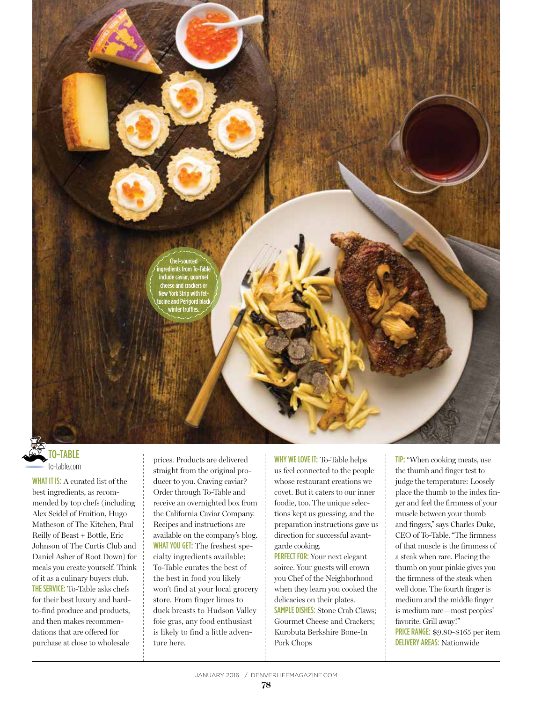

## **O-TABLE** to-table.com

WHAT IT IS: A curated list of the best ingredients, as recommended by top chefs (including Alex Seidel of Fruition, Hugo Matheson of The Kitchen, Paul Reilly of Beast + Bottle, Eric Johnson of The Curtis Club and Daniel Asher of Root Down) for meals you create yourself. Think of it as a culinary buyers club. THE SERVICE: To-Table asks chefs for their best luxury and hardto-find produce and products, and then makes recommendations that are offered for purchase at close to wholesale

prices. Products are delivered straight from the original producer to you. Craving caviar? Order through To-Table and receive an overnighted box from the California Caviar Company. Recipes and instructions are available on the company's blog. WHAT YOU GET: The freshest specialty ingredients available; To-Table curates the best of the best in food you likely won't find at your local grocery store. From finger limes to duck breasts to Hudson Valley foie gras, any food enthusiast is likely to find a little adventure here.

WHY WE LOVE IT: To-Table helps us feel connected to the people whose restaurant creations we covet. But it caters to our inner foodie, too. The unique selections kept us guessing, and the preparation instructions gave us direction for successful avantgarde cooking.

PERFECT FOR: Your next elegant soiree. Your guests will crown you Chef of the Neighborhood when they learn you cooked the delicacies on their plates. SAMPLE DISHES: Stone Crab Claws; Gourmet Cheese and Crackers; Kurobuta Berkshire Bone-In Pork Chops

TIP: "When cooking meats, use the thumb and finger test to judge the temperature: Loosely place the thumb to the index finger and feel the firmness of your muscle between your thumb and fingers," says Charles Duke, CEO of To-Table. "The firmness of that muscle is the firmness of a steak when rare. Placing the thumb on your pinkie gives you the firmness of the steak when well done. The fourth finger is medium and the middle finger is medium rare—most peoples' favorite. Grill away!" PRICE RANGE: \$9.80-\$165 per item DELIVERY AREAS: Nationwide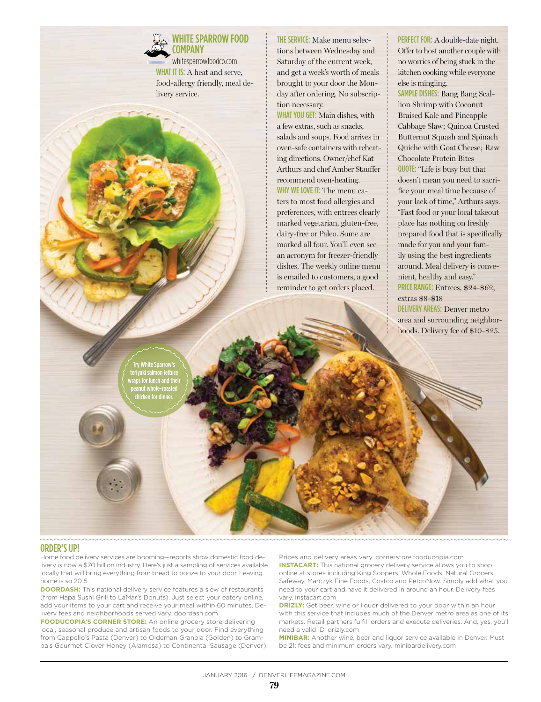## WHITE SPARROW FOOD **COMPANY**

whitesparrowfoodco.com WHAT IT IS: A heat and serve, food-allergy friendly, meal delivery service.

THE SERVICE: Make menu selections between Wednesday and Saturday of the current week, and get a week's worth of meals brought to your door the Monday after ordering. No subscription necessary.

WHAT YOU GET: Main dishes, with a few extras, such as snacks, salads and soups. Food arrives in oven-safe containers with reheating directions. Owner/chef Kat Arthurs and chef Amber Stauffer recommend oven-heating. WHY WE LOVE IT: The menu caters to most food allergies and preferences, with entrees clearly marked vegetarian, gluten-free, dairy-free or Paleo. Some are marked all four. You'll even see an acronym for freezer-friendly dishes. The weekly online menu is emailed to customers, a good reminder to get orders placed.

PERFECT FOR: A double-date night. Offer to host another couple with no worries of being stuck in the kitchen cooking while everyone else is mingling.

SAMPLE DISHES: Bang Bang Scallion Shrimp with Coconut Braised Kale and Pineapple Cabbage Slaw; Quinoa Crusted Butternut Squash and Spinach Quiche with Goat Cheese; Raw Chocolate Protein Bites QUOTE: "Life is busy but that doesn't mean you need to sacrifice your meal time because of your lack of time," Arthurs says. "Fast food or your local takeout place has nothing on freshly prepared food that is specifically made for you and your family using the best ingredients around. Meal delivery is convenient, healthy and easy." PRICE RANGE: Entrees, \$24-\$62,

extras \$8-\$18 DELIVERY AREAS: Denver metro area and surrounding neighborhoods. Delivery fee of \$10-\$25.

Try White Sparrow's teriyaki salmon lettuce ps for lunch and thei peanut whole-roasted chicken for dinner.

## ORDER'S UP!

Home food delivery services are booming—reports show domestic food delivery is now a \$70 billion industry. Here's just a sampling of services available locally that will bring everything from bread to booze to your door. Leaving home is so 2015.

**DOORDASH:** This national delivery service features a slew of restaurants (from Hapa Sushi Grill to LaMar's Donuts). Just select your eatery online, add your items to your cart and receive your meal within 60 minutes. Delivery fees and neighborhoods served vary. doordash.com

**FOODUCOPIA'S CORNER STORE:** An online grocery store delivering local, seasonal produce and artisan foods to your door. Find everything from Cappello's Pasta (Denver) to Oldeman Granola (Golden) to Grampa's Gourmet Clover Honey (Alamosa) to Continental Sausage (Denver).

Prices and delivery areas vary. cornerstore.fooducopia.com **INSTACART:** This national grocery delivery service allows you to shop online at stores including King Soopers, Whole Foods, Natural Grocers, Safeway, Marczyk Fine Foods, Costco and PetcoNow. Simply add what you need to your cart and have it delivered in around an hour. Delivery fees vary. instacart.com

**DRIZLY:** Get beer, wine or liquor delivered to your door within an hour with this service that includes much of the Denver metro area as one of its markets. Retail partners fulfill orders and execute deliveries. And, yes, you'll need a valid ID. drizly.com

**MINIBAR:** Another wine, beer and liquor service available in Denver. Must be 21; fees and minimum orders vary. minibardelivery.com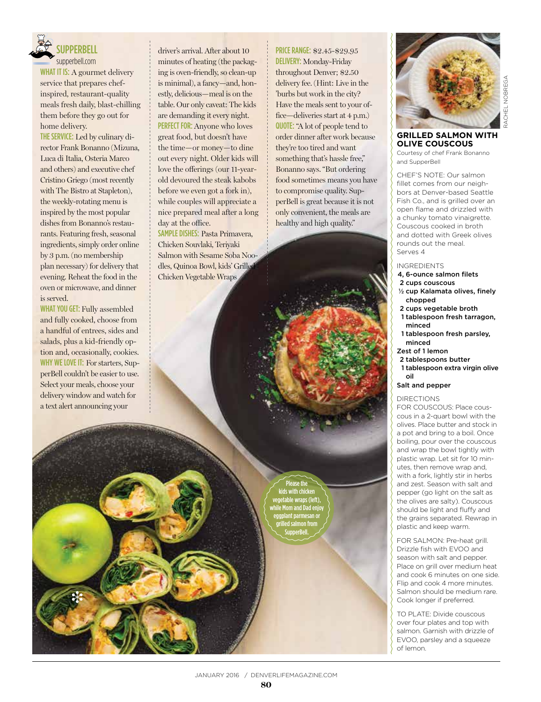

## **SUPPERBELL**

supperbell.com WHAT IT IS: A gourmet delivery service that prepares chefinspired, restaurant-quality meals fresh daily, blast-chilling them before they go out for home delivery.

THE SERVICE: Led by culinary director Frank Bonanno (Mizuna, Luca di Italia, Osteria Marco and others) and executive chef Cristino Griego (most recently with The Bistro at Stapleton), the weekly-rotating menu is inspired by the most popular dishes from Bonanno's restaurants. Featuring fresh, seasonal ingredients, simply order online by 3 p.m. (no membership plan necessary) for delivery that evening. Reheat the food in the oven or microwave, and dinner is served.

WHAT YOU GET: Fully assembled and fully cooked, choose from a handful of entrees, sides and salads, plus a kid-friendly option and, occasionally, cookies. WHY WE LOVE IT: For starters, SupperBell couldn't be easier to use. Select your meals, choose your delivery window and watch for a text alert announcing your

i

driver's arrival. After about 10 minutes of heating (the packaging is oven-friendly, so clean-up is minimal), a fancy—and, honestly, delicious—meal is on the table. Our only caveat: The kids are demanding it every night. PERFECT FOR: Anyone who loves great food, but doesn't have the time—or money—to dine out every night. Older kids will love the offerings (our 11-yearold devoured the steak kabobs before we even got a fork in), while couples will appreciate a nice prepared meal after a long day at the office.

SAMPLE DISHES: Pasta Primavera, Chicken Souvlaki, Teriyaki Salmon with Sesame Soba Noodles, Quinoa Bowl, kids' Grilled Chicken Vegetable Wraps

PRICE RANGE: \$2.45-\$29.95 DELIVERY: Monday-Friday throughout Denver; \$2.50 delivery fee. (Hint: Live in the 'burbs but work in the city? Have the meals sent to your office—deliveries start at 4 p.m.) QUOTE: "A lot of people tend to order dinner after work because they're too tired and want something that's hassle free," Bonanno says. "But ordering food sometimes means you have to compromise quality. SupperBell is great because it is not only convenient, the meals are healthy and high quality."





RACHEL NOBREGA RACHEL NOBREGA

#### **GRILLED SALMON WITH OLIVE COUSCOUS**

Courtesy of chef Frank Bonanno and SupperBell

CHEF'S NOTE: Our salmon fillet comes from our neighbors at Denver-based Seattle Fish Co., and is grilled over an open flame and drizzled with a chunky tomato vinaigrette. Couscous cooked in broth and dotted with Greek olives rounds out the meal. Serves 4

#### INGREDIENTS

- 4, 6-ounce salmon filets
- 2 cups couscous
- ½ cup Kalamata olives, finely chopped
- 2 cups vegetable broth
- 1 tablespoon fresh tarragon, minced
- 1 tablespoon fresh parsley, minced
- Zest of 1 lemon
- 2 tablespoons butter
- 1 tablespoon extra virgin olive oil

#### Salt and pepper

DIRECTIONS

FOR COUSCOUS: Place couscous in a 2-quart bowl with the olives. Place butter and stock in a pot and bring to a boil. Once boiling, pour over the couscous and wrap the bowl tightly with plastic wrap. Let sit for 10 minutes, then remove wrap and, with a fork, lightly stir in herbs and zest. Season with salt and pepper (go light on the salt as the olives are salty). Couscous should be light and fluffy and the grains separated. Rewrap in plastic and keep warm.

FOR SALMON: Pre-heat grill. Drizzle fish with EVOO and season with salt and pepper. Place on grill over medium heat and cook 6 minutes on one side. Flip and cook 4 more minutes. Salmon should be medium rare. Cook longer if preferred.

TO PLATE: Divide couscous over four plates and top with salmon. Garnish with drizzle of EVOO, parsley and a squeeze of lemon.